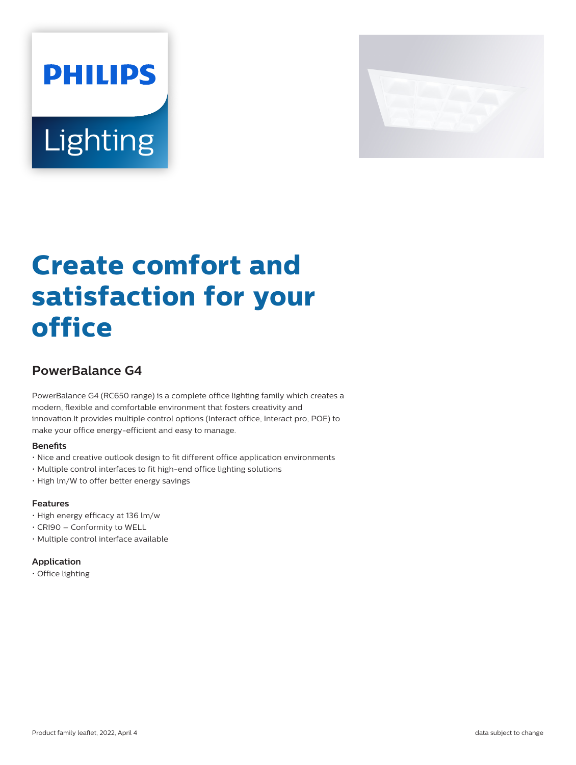



# **Create comfort and satisfaction for your office**

## **PowerBalance G4**

PowerBalance G4 (RC650 range) is a complete office lighting family which creates a modern, flexible and comfortable environment that fosters creativity and innovation.It provides multiple control options (Interact office, Interact pro, POE) to make your office energy-efficient and easy to manage.

#### **Benefits**

- Nice and creative outlook design to fit different office application environments
- Multiple control interfaces to fit high-end office lighting solutions
- High lm/W to offer better energy savings

## **Features**

- High energy efficacy at 136 lm/w
- CRI90 Conformity to WELL
- Multiple control interface available

## **Application**

• Office lighting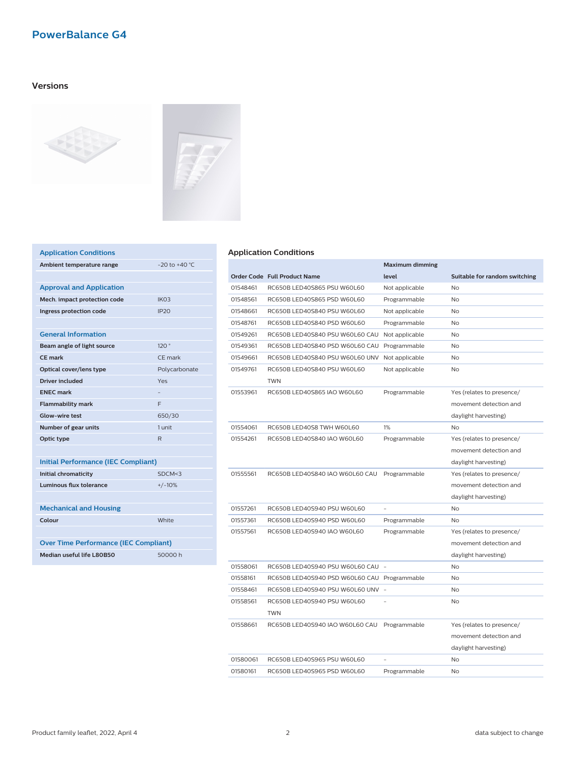## **Versions**





| <b>Application Conditions</b>   |                   |
|---------------------------------|-------------------|
| Ambient temperature range       | $-20$ to $+40$ °C |
|                                 |                   |
| <b>Approval and Application</b> |                   |
| Mech. impact protection code    | IK <sub>03</sub>  |
| Ingress protection code         | IP <sub>20</sub>  |
|                                 |                   |
| <b>General Information</b>      |                   |
| Beam angle of light source      | 120°              |
| CF mark                         | CF mark           |
| Optical cover/lens type         | Polycarbonate     |
| Driver included                 | Yes               |
| <b>FNFC</b> mark                |                   |
| <b>Flammability mark</b>        | F                 |
| Glow-wire test                  | 650/30            |
| Number of gear units            | 1 unit            |
| Optic type                      | $\mathsf{R}$      |
|                                 |                   |

| <b>Initial Performance (IEC Compliant)</b>   |          |  |
|----------------------------------------------|----------|--|
| Initial chromaticity                         | SDCM < 3 |  |
| <b>Luminous flux tolerance</b>               | $+/-10%$ |  |
|                                              |          |  |
| <b>Mechanical and Housing</b>                |          |  |
| Colour                                       | White    |  |
|                                              |          |  |
| <b>Over Time Performance (IEC Compliant)</b> |          |  |
| Median useful life I 80B50<br>50000 h        |          |  |

#### **Application Conditions**

|          |                                              | <b>Maximum dimming</b> |                               |
|----------|----------------------------------------------|------------------------|-------------------------------|
|          | Order Code Full Product Name                 | level                  | Suitable for random switching |
| 01548461 | RC650B LED40S865 PSU W60L60                  | Not applicable         | <b>No</b>                     |
| 01548561 | RC650B LED40S865 PSD W60L60                  | Programmable           | <b>No</b>                     |
| 01548661 | RC650B LED40S840 PSU W60L60                  | Not applicable         | No                            |
| 01548761 | RC650B LED40S840 PSD W60L60                  | Programmable           | No                            |
| 01549261 | RC650B LED40S840 PSU W60L60 CAU              | Not applicable         | No                            |
| 01549361 | RC650B LED40S840 PSD W60L60 CAU              | Programmable           | No                            |
| 01549661 | RC650B LED40S840 PSU W60L60 UNV              | Not applicable         | <b>No</b>                     |
| 01549761 | RC650B LED40S840 PSU W60L60<br><b>TWN</b>    | Not applicable         | No                            |
| 01553961 | RC650B LED40S865 IAO W60L60                  | Programmable           | Yes (relates to presence/     |
|          |                                              |                        | movement detection and        |
|          |                                              |                        | daylight harvesting)          |
| 01554061 | RC650B LED40S8 TWH W60L60                    | $1\%$                  | No                            |
| 01554261 | RC650B LED40S840 IAO W60L60                  | Programmable           | Yes (relates to presence/     |
|          |                                              |                        | movement detection and        |
|          |                                              |                        | daylight harvesting)          |
| 01555561 | RC650B LED40S840 IAO W60L60 CAU              | Programmable           | Yes (relates to presence/     |
|          |                                              |                        | movement detection and        |
|          |                                              |                        | daylight harvesting)          |
| 01557261 | RC650B LED40S940 PSU W60L60                  | $\overline{a}$         | No                            |
| 01557361 | RC650B LED40S940 PSD W60L60                  | Programmable           | No                            |
| 01557561 | RC650B LED40S940 IAO W60L60                  | Programmable           | Yes (relates to presence/     |
|          |                                              |                        | movement detection and        |
|          |                                              |                        | daylight harvesting)          |
| 01558061 | RC650B LED40S940 PSU W60L60 CAU -            |                        | No                            |
| 01558161 | RC650B LED40S940 PSD W60L60 CAU Programmable |                        | No.                           |
| 01558461 | RC650B LED40S940 PSU W60L60 UNV              |                        | N <sub>o</sub>                |
| 01558561 | RC650B LED40S940 PSU W60L60                  |                        | No                            |
|          | TWN                                          |                        |                               |
| 01558661 | RC650B LED40S940 IAO W60L60 CAU              | Programmable           | Yes (relates to presence/     |
|          |                                              |                        | movement detection and        |
|          |                                              |                        | daylight harvesting)          |
| 01580061 | RC650B LED40S965 PSU W60L60                  |                        | No                            |
| 01580161 | RC650B LED40S965 PSD W60L60                  | Programmable           | No                            |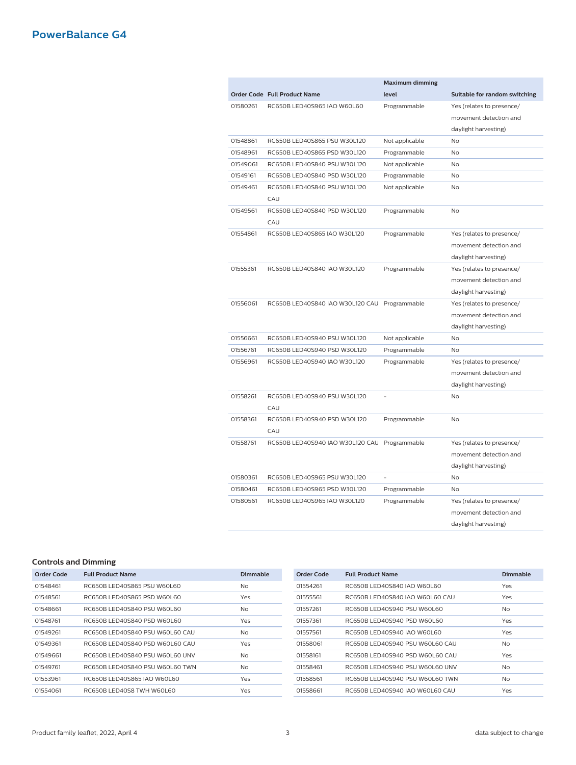|          |                                               | <b>Maximum dimming</b>   |                               |
|----------|-----------------------------------------------|--------------------------|-------------------------------|
|          | Order Code Full Product Name                  | level                    | Suitable for random switching |
| 01580261 | RC650B LED40S965 IAO W60L60                   | Programmable             | Yes (relates to presence/     |
|          |                                               |                          | movement detection and        |
|          |                                               |                          | daylight harvesting)          |
| 01548861 | RC650B LED40S865 PSU W30L120                  | Not applicable           | N <sub>o</sub>                |
| 01548961 | RC650B LED40S865 PSD W30L120                  | Programmable             | No                            |
| 01549061 | RC650B LED40S840 PSU W30L120                  | Not applicable           | No.                           |
| 01549161 | RC650B LED40S840 PSD W30L120                  | Programmable             | No                            |
| 01549461 | RC650B LED40S840 PSU W30L120                  | Not applicable           | <b>No</b>                     |
|          | CAU                                           |                          |                               |
| 01549561 | RC650B LED40S840 PSD W30L120                  | Programmable             | No                            |
|          | CAU                                           |                          |                               |
| 01554861 | RC650B LED40S865 IAO W30L120                  | Programmable             | Yes (relates to presence/     |
|          |                                               |                          | movement detection and        |
|          |                                               |                          | daylight harvesting)          |
| 01555361 | RC650B LED40S840 IAO W30L120                  | Programmable             | Yes (relates to presence/     |
|          |                                               |                          | movement detection and        |
|          |                                               |                          | daylight harvesting)          |
| 01556061 | RC650B LED40S840 IAO W30L120 CAU Programmable |                          | Yes (relates to presence/     |
|          |                                               |                          | movement detection and        |
|          |                                               |                          | daylight harvesting)          |
| 01556661 | RC650B LED40S940 PSU W30L120                  | Not applicable           | <b>No</b>                     |
| 01556761 | RC650B LED40S940 PSD W30L120                  | Programmable             | <b>No</b>                     |
| 01556961 | RC650B LED40S940 IAO W30L120                  | Programmable             | Yes (relates to presence/     |
|          |                                               |                          | movement detection and        |
|          |                                               |                          | daylight harvesting)          |
| 01558261 | RC650B LED40S940 PSU W30L120                  |                          | No                            |
|          | CAU                                           |                          |                               |
| 01558361 | RC650B LED40S940 PSD W30L120                  | Programmable             | No                            |
|          | CAU                                           |                          |                               |
| 01558761 | RC650B LED40S940 IAO W30L120 CAU Programmable |                          | Yes (relates to presence/     |
|          |                                               |                          | movement detection and        |
|          |                                               |                          | daylight harvesting)          |
| 01580361 | RC650B LED40S965 PSU W30L120                  | $\overline{\phantom{a}}$ | No                            |
| 01580461 | RC650B LED40S965 PSD W30L120                  | Programmable             | No                            |
| 01580561 | RC650B LED40S965 IAO W30L120                  | Programmable             | Yes (relates to presence/     |
|          |                                               |                          | movement detection and        |
|          |                                               |                          | daylight harvesting)          |

#### **Controls and Dimming**

| Order Code | <b>Full Product Name</b>        | Dimmable       | Order Code | <b>Full Product Name</b>        | Dimmable  |
|------------|---------------------------------|----------------|------------|---------------------------------|-----------|
| 01548461   | RC650B LED40S865 PSU W60L60     | <b>No</b>      | 01554261   | RC650B LED40S840 IAO W60L60     | Yes       |
| 01548561   | RC650B LED40S865 PSD W60L60     | Yes            | 01555561   | RC650B LED40S840 JAO W60L60 CAU | Yes       |
| 01548661   | RC650B LED40S840 PSU W60L60     | <b>No</b>      | 01557261   | RC650BLED40S940 PSU W60L60      | <b>No</b> |
| 01548761   | RC650B LED40S840 PSD W60L60     | Yes            | 01557361   | RC650BLED40S940 PSD W60L60      | Yes       |
| 01549261   | RC650BLED40S840 PSU W60L60 CAU  | N <sub>o</sub> | 01557561   | RC650B LED40S940 IAO W60L60     | Yes       |
| 01549361   | RC650B LED40S840 PSD W60L60 CAU | Yes            | 01558061   | RC650B LED40S940 PSU W60L60 CAU | <b>No</b> |
| 01549661   | RC650B LED40S840 PSU W60L60 UNV | N <sub>o</sub> | 01558161   | RC650B LED40S940 PSD W60L60 CAU | Yes       |
| 01549761   | RC650B LED40S840 PSU W60L60 TWN | <b>No</b>      | 01558461   | RC650B LED40S940 PSU W60L60 UNV | <b>No</b> |
| 01553961   | RC650B LED40S865 IAO W60L60     | Yes            | 01558561   | RC650B LED40S940 PSU W60L60 TWN | <b>No</b> |
| 01554061   | RC650B LED40S8 TWH W60L60       | Yes            | 01558661   | RC650B LED40S940 IAO W60L60 CAU | Yes       |
|            |                                 |                |            |                                 |           |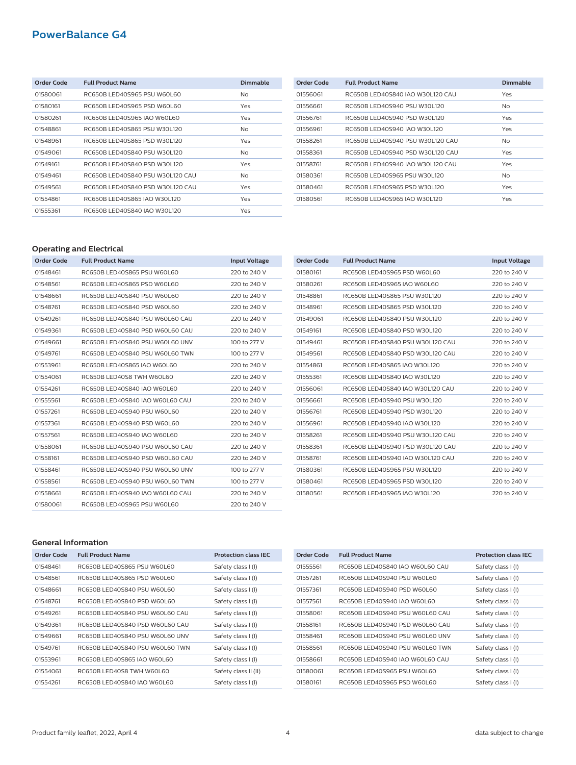| Order Code | <b>Full Product Name</b>         | <b>Dimmable</b> |
|------------|----------------------------------|-----------------|
| 01580061   | RC650BLED40S965 PSU W60L60       | No              |
| 01580161   | RC650B LED40S965 PSD W60L60      | Yes             |
| 01580261   | RC650B LED40S965 IAO W60L60      | Yes             |
| 01548861   | RC650B LED40S865 PSU W30L120     | No.             |
| 01548961   | RC650B LED40S865 PSD W30L120     | Yes             |
| 01549061   | RC650BLED40S840 PSU W30L120      | No              |
| 01549161   | RC650BLED40S840 PSD W30L120      | Yes             |
| 01549461   | RC650B LED40S840 PSU W30L120 CAU | No              |
| 01549561   | RC650B LED40S840 PSD W30L120 CAU | Yes             |
| 01554861   | RC650B LED40S865 IAO W30L120     | Yes             |
| 01555361   | RC650B LED40S840 IAO W30L120     | Yes             |

| Order Code | <b>Full Product Name</b>          | <b>Dimmable</b> |
|------------|-----------------------------------|-----------------|
| 01556061   | RC650B LED40S840 IAO W30L120 CAU  | Yes             |
| 01556661   | RC650BLED40S940 PSU W30L120       | No.             |
| 01556761   | RC650BLED40S940 PSD W30L120       | Yes             |
| 01556961   | RC650B LED40S940 IAO W30L120      | Yes             |
| 01558261   | RC650B LED40S940 PSU W30L120 CAU  | N <sub>o</sub>  |
| 01558361   | RC650B LED40S940 PSD W30L120 CALL | Yes             |
| 01558761   | RC650B LED40S940 IAO W30L120 CAU  | Yes             |
| 01580361   | RC650B LED40S965 PSU W30L120      | N <sub>o</sub>  |
| 01580461   | RC650BLED40S965 PSD W30L120       | Yes             |
| 01580561   | RC650B LED40S965 IAO W30L120      | Yes             |

## **Operating and Electrical**

| <b>Order Code</b> | <b>Full Product Name</b>        | <b>Input Voltage</b> |
|-------------------|---------------------------------|----------------------|
| 01548461          | RC650B LED40S865 PSU W60L60     | 220 to 240 V         |
| 01548561          | RC650B LED40S865 PSD W60L60     | 220 to 240 V         |
| 01548661          | RC650B LED40S840 PSU W60L60     | 220 to 240 V         |
| 01548761          | RC650B LED40S840 PSD W60L60     | 220 to 240 V         |
| 01549261          | RC650B LED40S840 PSU W60L60 CAU | 220 to 240 V         |
| 01549361          | RC650B LED40S840 PSD W60L60 CAU | 220 to 240 V         |
| 01549661          | RC650B LED40S840 PSU W60L60 UNV | 100 to 277 V         |
| 01549761          | RC650B LED40S840 PSU W60L60 TWN | 100 to 277 V         |
| 01553961          | RC650B LED40S865 IAO W60L60     | 220 to 240 V         |
| 01554061          | RC650B LED40S8 TWH W60L60       | 220 to 240 V         |
| 01554261          | RC650B LED40S840 IAO W60L60     | 220 to 240 V         |
| 01555561          | RC650B LED40S840 IAO W60L60 CAU | 220 to 240 V         |
| 01557261          | RC650B LED40S940 PSU W60L60     | 220 to 240 V         |
| 01557361          | RC650B LED40S940 PSD W60L60     | 220 to 240 V         |
| 01557561          | RC650B LED40S940 IAO W60L60     | 220 to 240 V         |
| 01558061          | RC650B LED40S940 PSU W60L60 CAU | 220 to 240 V         |
| 01558161          | RC650B LED40S940 PSD W60L60 CAU | 220 to 240 V         |
| 01558461          | RC650B LED40S940 PSU W60L60 UNV | 100 to 277 V         |
| 01558561          | RC650B LED40S940 PSU W60L60 TWN | 100 to 277 V         |
| 01558661          | RC650B LED40S940 IAO W60L60 CAU | 220 to 240 V         |
| 01580061          | RC650B LED40S965 PSU W60L60     | 220 to 240 V         |

| <b>Order Code</b> | <b>Full Product Name</b>         | <b>Input Voltage</b> |
|-------------------|----------------------------------|----------------------|
| 01580161          | RC650BLED40S965 PSD W60L60       | 220 to 240 V         |
| 01580261          | RC650BLED40S965 IAO W60L60       | 220 to 240 V         |
| 01548861          | RC650B LED40S865 PSU W30L120     | 220 to 240 V         |
| 01548961          | RC650B LED40S865 PSD W30L120     | 220 to 240 V         |
| 01549061          | RC650BLED40S840 PSU W30L120      | 220 to 240 V         |
| 01549161          | RC650BLED40S840 PSD W30L120      | 220 to 240 V         |
| 01549461          | RC650B LED40S840 PSU W30L120 CAU | 220 to 240 V         |
| 01549561          | RC650BLED40S840 PSD W30L120 CAU  | 220 to 240 V         |
| 01554861          | RC650BLED40S865 IAO W30L120      | 220 to 240 V         |
| 01555361          | RC650BLED40S840 IAO W30L120      | 220 to 240 V         |
| 01556061          | RC650B LED40S840 IAO W30L120 CAU | 220 to 240 V         |
| 01556661          | RC650BLED40S940 PSU W30L120      | 220 to 240 V         |
| 01556761          | RC650BLED40S940 PSD W30L120      | 220 to 240 V         |
| 01556961          | RC650BLED40S940 IAO W30L120      | 220 to 240 V         |
| 01558261          | RC650B LED40S940 PSU W30L120 CAU | 220 to 240 V         |
| 01558361          | RC650B LED40S940 PSD W30L120 CAU | 220 to 240 V         |
| 01558761          | RC650B LED40S940 IAO W30L120 CAU | 220 to 240 V         |
| 01580361          | RC650B LED40S965 PSU W30L120     | 220 to 240 V         |
| 01580461          | RC650B LED40S965 PSD W30L120     | 220 to 240 V         |
| 01580561          | RC650BLED40S965 IAO W30L120      | 220 to 240 V         |

#### **General Information**

| Order Code | <b>Full Product Name</b>        | <b>Protection class IEC</b> |
|------------|---------------------------------|-----------------------------|
| 01548461   | RC650BLED40S865 PSU W60L60      | Safety class I (I)          |
| 01548561   | RC650BLED40S865 PSD W60L60      | Safety class I (I)          |
| 01548661   | RC650BLED40S840 PSU W60L60      | Safety class I (I)          |
| 01548761   | RC650BLED40S840 PSD W60L60      | Safety class I (I)          |
| 01549261   | RC650B LED40S840 PSU W60L60 CAU | Safety class I (I)          |
| 01549361   | RC650B LED40S840 PSD W60L60 CAU | Safety class I (I)          |
| 01549661   | RC650B LED40S840 PSU W60L60 UNV | Safety class I (I)          |
| 01549761   | RC650BLED40S840 PSU W60L60 TWN  | Safety class I (I)          |
| 01553961   | RC650B LED40S865 IAO W60L60     | Safety class I (I)          |
| 01554061   | RC650BLED40S8 TWH W60L60        | Safety class II (II)        |
| 01554261   | RC650BLED40S840 IAO W60L60      | Safety class I (I)          |

| Order Code | <b>Full Product Name</b>        | <b>Protection class IEC</b> |
|------------|---------------------------------|-----------------------------|
| 01555561   | RC650B LED40S840 IAO W60L60 CAU | Safety class I (I)          |
| 01557261   | RC650BLED40S940 PSU W60L60      | Safety class I (I)          |
| 01557361   | RC650BLED40S940 PSD W60L60      | Safety class I (I)          |
| 01557561   | RC650B LED40S940 IAO W60L60     | Safety class I (I)          |
| 01558061   | RC650B LED40S940 PSU W60L60 CAU | Safety class I (I)          |
| 01558161   | RC650B LED40S940 PSD W60L60 CAU | Safety class I (I)          |
| 01558461   | RC650B LED40S940 PSU W60L60 UNV | Safety class I (I)          |
| 01558561   | RC650B LED40S940 PSU W60L60 TWN | Safety class I (I)          |
| 01558661   | RC650B LED40S940 IAO W60L60 CAU | Safety class I (I)          |
| 01580061   | RC650BLED40S965 PSU W60L60      | Safety class I (I)          |
| 01580161   | RC650BLED40S965 PSD W60L60      | Safety class I (I)          |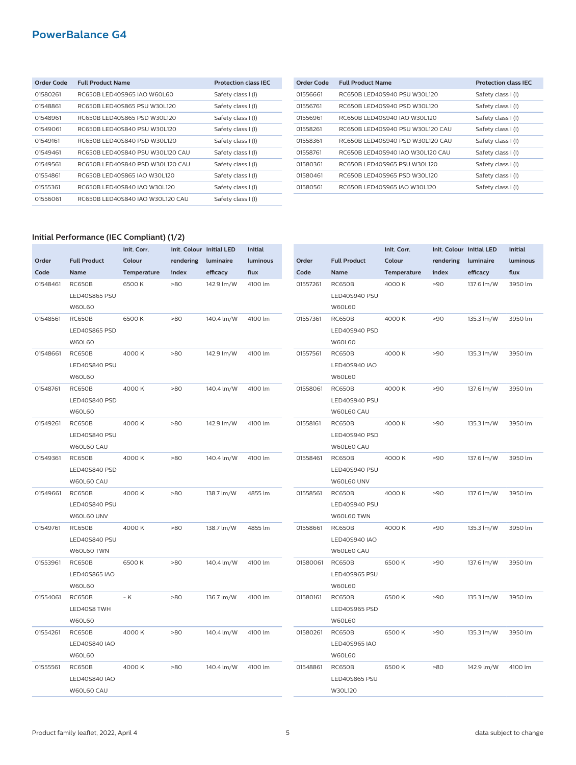| Order Code | <b>Full Product Name</b>         | <b>Protection class IEC</b> |
|------------|----------------------------------|-----------------------------|
| 01580261   | RC650B LED40S965 IAO W60L60      | Safety class I (I)          |
| 01548861   | RC650BLED40S865 PSU W30L120      | Safety class I (I)          |
| 01548961   | RC650B LED40S865 PSD W30L120     | Safety class I (I)          |
| 01549061   | RC650BLED40S840 PSU W30L120      | Safety class I (I)          |
| 01549161   | RC650BLED40S840 PSD W30L120      | Safety class I (I)          |
| 01549461   | RC650B LED40S840 PSU W30L120 CAU | Safety class I (I)          |
| 01549561   | RC650B LED40S840 PSD W30L120 CAU | Safety class I (I)          |
| 01554861   | RC650B LED40S865 IAO W30L120     | Safety class I (I)          |
| 01555361   | RC650B LED40S840 IAO W30L120     | Safety class I (I)          |
| 01556061   | RC650B LED40S840 IAO W30L120 CAU | Safety class I (I)          |

| Order Code | <b>Full Product Name</b>         | <b>Protection class IEC</b> |
|------------|----------------------------------|-----------------------------|
| 01556661   | RC650BLED40S940 PSU W30L120      | Safety class I (I)          |
| 01556761   | RC650B LED40S940 PSD W30L120     | Safety class I (I)          |
| 01556961   | RC650B LED40S940 IAO W30L120     | Safety class I (I)          |
| 01558261   | RC650B LED40S940 PSU W30L120 CAU | Safety class I (I)          |
| 01558361   | RC650B LED40S940 PSD W30L120 CAU | Safety class I (I)          |
| 01558761   | RC650B LED40S940 IAO W30L120 CAU | Safety class I (I)          |
| 01580361   | RC650B LED40S965 PSU W30L120     | Safety class I (I)          |
| 01580461   | RC650B LED40S965 PSD W30L120     | Safety class I (I)          |
| 01580561   | RC650B LED40S965 IAO W30L120     | Safety class I (I)          |
|            |                                  |                             |

#### **Initial Performance (IEC Compliant) (1/2)**

|          |                     | Init. Corr. |           | Init. Colour Initial LED | <b>Initial</b> |        |
|----------|---------------------|-------------|-----------|--------------------------|----------------|--------|
| Order    | <b>Full Product</b> | Colour      | rendering | luminaire                | luminous       | Order  |
| Code     | Name                | Temperature | index     | efficacy                 | flux           | Code   |
| 01548461 | RC650B              | 6500 K      | >80       | 142.9 lm/W               | 4100 lm        | 015572 |
|          | LED40S865 PSU       |             |           |                          |                |        |
|          | <b>W60L60</b>       |             |           |                          |                |        |
| 01548561 | <b>RC650B</b>       | 6500K       | >80       | 140.4 lm/W               | 4100 lm        | 015573 |
|          | LED40S865 PSD       |             |           |                          |                |        |
|          | <b>W60L60</b>       |             |           |                          |                |        |
| 01548661 | <b>RC650B</b>       | 4000 K      | >80       | 142.9 lm/W               | 4100 lm        | 015575 |
|          | LED40S840 PSU       |             |           |                          |                |        |
|          | W60L60              |             |           |                          |                |        |
| 01548761 | <b>RC650B</b>       | 4000 K      | >80       | 140.4 lm/W               | 4100 lm        | 015580 |
|          | LED40S840 PSD       |             |           |                          |                |        |
|          | <b>W60L60</b>       |             |           |                          |                |        |
| 01549261 | RC650B              | 4000 K      | >80       | 142.9 lm/W               | 4100 lm        | 015581 |
|          | LED40S840 PSU       |             |           |                          |                |        |
|          | W60L60 CAU          |             |           |                          |                |        |
| 01549361 | RC650B              | 4000 K      | >80       | 140.4 lm/W               | 4100 lm        | 015584 |
|          | LED40S840 PSD       |             |           |                          |                |        |
|          | W60L60 CAU          |             |           |                          |                |        |
| 01549661 | RC650B              | 4000 K      | >80       | 138.7 lm/W               | 4855 lm        | 015585 |
|          | LED40S840 PSU       |             |           |                          |                |        |
|          | W60L60 UNV          |             |           |                          |                |        |
| 01549761 | RC650B              | 4000 K      | >80       | 138.7 lm/W               | 4855 lm        | 015586 |
|          | LED40S840 PSU       |             |           |                          |                |        |
|          | W60L60 TWN          |             |           |                          |                |        |
| 01553961 | RC650B              | 6500 K      | >80       | 140.4 lm/W               | 4100 lm        | 015800 |
|          | LED40S865 IAO       |             |           |                          |                |        |
|          | W60L60              |             |           |                          |                |        |
| 01554061 | RC650B              | – K         | >80       | 136.7 lm/W               | 4100 lm        | 015801 |
|          | LED40S8 TWH         |             |           |                          |                |        |
|          | W60L60              |             |           |                          |                |        |
| 01554261 | <b>RC650B</b>       | 4000 K      | >80       | 140.4 lm/W               | 4100 lm        | 015802 |
|          | LED40S840 IAO       |             |           |                          |                |        |
|          | W60L60              |             |           |                          |                |        |
| 01555561 | RC650B              | 4000 K      | >80       | 140.4 lm/W               | 4100 lm        | 015488 |
|          | LED40S840 IAO       |             |           |                          |                |        |
|          | W60L60 CAU          |             |           |                          |                |        |
|          |                     |             |           |                          |                |        |

|          |                      | Init. Corr. | Init. Colour Initial LED |            | <b>Initial</b> |
|----------|----------------------|-------------|--------------------------|------------|----------------|
| Order    | <b>Full Product</b>  | Colour      | rendering                | luminaire  | luminous       |
| Code     | Name                 | Temperature | index                    | efficacy   | flux           |
| 01557261 | RC650B               | 4000 K      | >90                      | 137.6 lm/W | 3950 lm        |
|          | LED40S940 PSU        |             |                          |            |                |
|          | <b>W60L60</b>        |             |                          |            |                |
| 01557361 | RC650B               | 4000 K      | >90                      | 135.3 lm/W | 3950 lm        |
|          | LED40S940 PSD        |             |                          |            |                |
|          | <b>W60L60</b>        |             |                          |            |                |
| 01557561 | RC650B               | 4000 K      | >90                      | 135.3 lm/W | 3950 lm        |
|          | LED40S940 IAO        |             |                          |            |                |
|          | <b>W60L60</b>        |             |                          |            |                |
| 01558061 | RC650B               | 4000 K      | >90                      | 137.6 lm/W | 3950 lm        |
|          | LED40S940 PSU        |             |                          |            |                |
|          | W60L60 CAU           |             |                          |            |                |
| 01558161 | RC650B               | 4000K       | >90                      | 135.3 lm/W | 3950 lm        |
|          | LED40S940 PSD        |             |                          |            |                |
|          | W60L60 CAU           |             |                          |            |                |
| 01558461 | RC650B               | 4000K       | >90                      | 137.6 lm/W | 3950 lm        |
|          | LED40S940 PSU        |             |                          |            |                |
|          | W60L60 UNV           |             |                          |            |                |
| 01558561 | RC650B               | 4000 K      | >90                      | 137.6 lm/W | 3950 lm        |
|          | LED40S940 PSU        |             |                          |            |                |
|          | W60L60 TWN           |             |                          |            |                |
| 01558661 | RC650B               | 4000K       | >90                      | 135.3 lm/W | 3950 lm        |
|          | LED40S940 IAO        |             |                          |            |                |
|          | W60L60 CAU           |             |                          |            |                |
| 01580061 | RC650B               | 6500K       | >90                      | 137.6 lm/W | 3950 lm        |
|          | LED40S965 PSU        |             |                          |            |                |
|          | <b>W60L60</b>        |             |                          |            |                |
| 01580161 | RC650B               | 6500K       | >90                      | 135.3 lm/W | 3950 lm        |
|          | LED40S965 PSD        |             |                          |            |                |
|          | W60L60               |             |                          |            |                |
| 01580261 | <b>RC650B</b>        | 6500K       | >90                      | 135.3 lm/W | 3950 lm        |
|          | <b>LED40S965 IAO</b> |             |                          |            |                |
|          | W60L60               |             |                          |            |                |
| 01548861 | RC650B               | 6500K       | >80                      | 142.9 lm/W | 4100 lm        |
|          | LED40S865 PSU        |             |                          |            |                |
|          | W30L120              |             |                          |            |                |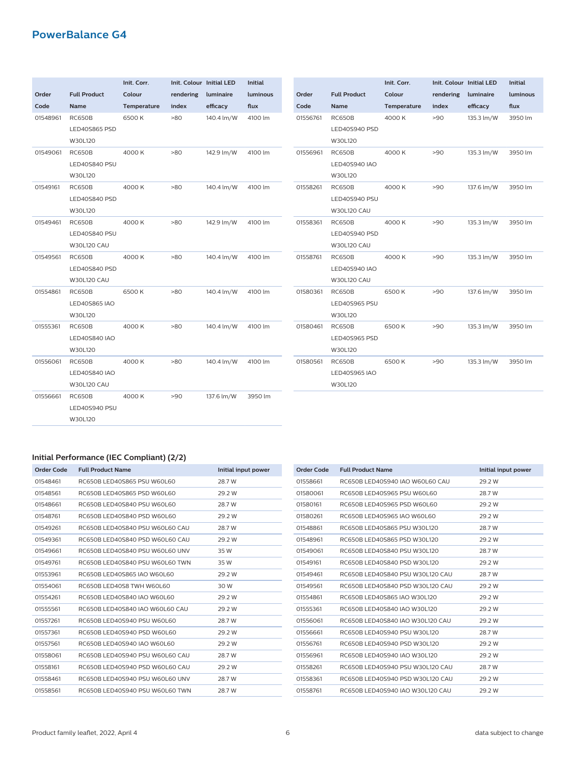|          |                     | Init. Corr. |           | Init. Colour Initial LED | <b>Initial</b> |          |                      | Init. Corr. |           | Init. Colour Initial LED | <b>Initial</b> |
|----------|---------------------|-------------|-----------|--------------------------|----------------|----------|----------------------|-------------|-----------|--------------------------|----------------|
| Order    | <b>Full Product</b> | Colour      | rendering | luminaire                | luminous       | Order    | <b>Full Product</b>  | Colour      | rendering | luminaire                | luminous       |
| Code     | Name                | Temperature | index     | efficacy                 | flux           | Code     | Name                 | Temperature | index     | efficacy                 | flux           |
| 01548961 | <b>RC650B</b>       | 6500K       | $-80$     | 140.4 lm/W               | 4100 lm        | 01556761 | <b>RC650B</b>        | 4000 K      | >90       | 135.3 lm/W               | 3950 lm        |
|          | LED40S865 PSD       |             |           |                          |                |          | LED40S940 PSD        |             |           |                          |                |
|          | W30L120             |             |           |                          |                |          | W30L120              |             |           |                          |                |
| 01549061 | <b>RC650B</b>       | 4000 K      | >80       | 142.9 lm/W               | 4100 lm        | 01556961 | <b>RC650B</b>        | 4000 K      | >90       | 135.3 lm/W               | 3950 lm        |
|          | LED40S840 PSU       |             |           |                          |                |          | LED40S940 IAO        |             |           |                          |                |
|          | W30L120             |             |           |                          |                |          | W30L120              |             |           |                          |                |
| 01549161 | <b>RC650B</b>       | 4000K       | >80       | 140.4 lm/W               | 4100 lm        | 01558261 | <b>RC650B</b>        | 4000 K      | >90       | 137.6 lm/W               | 3950 lm        |
|          | LED40S840 PSD       |             |           |                          |                |          | LED40S940 PSU        |             |           |                          |                |
|          | W30L120             |             |           |                          |                |          | <b>W30L120 CAU</b>   |             |           |                          |                |
| 01549461 | <b>RC650B</b>       | 4000 K      | >80       | 142.9 lm/W               | 4100 lm        | 01558361 | <b>RC650B</b>        | 4000 K      | >90       | 135.3 lm/W               | 3950 lm        |
|          | LED40S840 PSU       |             |           |                          |                |          | LED40S940 PSD        |             |           |                          |                |
|          | <b>W30L120 CAU</b>  |             |           |                          |                |          | <b>W30L120 CAU</b>   |             |           |                          |                |
| 01549561 | <b>RC650B</b>       | 4000 K      | >80       | 140.4 lm/W               | 4100 lm        | 01558761 | <b>RC650B</b>        | 4000 K      | >90       | 135.3 lm/W               | 3950 lm        |
|          | LED40S840 PSD       |             |           |                          |                |          | LED40S940 IAO        |             |           |                          |                |
|          | <b>W30L120 CAU</b>  |             |           |                          |                |          | <b>W30L120 CAU</b>   |             |           |                          |                |
| 01554861 | <b>RC650B</b>       | 6500K       | >80       | 140.4 lm/W               | 4100 lm        | 01580361 | <b>RC650B</b>        | 6500K       | >90       | 137.6 lm/W               | 3950 lm        |
|          | LED40S865 IAO       |             |           |                          |                |          | LED40S965 PSU        |             |           |                          |                |
|          | W30L120             |             |           |                          |                |          | W30L120              |             |           |                          |                |
| 01555361 | <b>RC650B</b>       | 4000 K      | >80       | 140.4 lm/W               | 4100 lm        | 01580461 | <b>RC650B</b>        | 6500K       | >90       | 135.3 lm/W               | 3950 lm        |
|          | LED40S840 IAO       |             |           |                          |                |          | LED40S965 PSD        |             |           |                          |                |
|          | W30L120             |             |           |                          |                |          | W30L120              |             |           |                          |                |
| 01556061 | RC650B              | 4000 K      | >80       | 140.4 lm/W               | 4100 lm        | 01580561 | <b>RC650B</b>        | 6500K       | >90       | 135.3 lm/W               | 3950 lm        |
|          | LED40S840 IAO       |             |           |                          |                |          | <b>LED40S965 IAO</b> |             |           |                          |                |
|          | <b>W30L120 CAU</b>  |             |           |                          |                |          | W30L120              |             |           |                          |                |
| 01556661 | <b>RC650B</b>       | 4000 K      | >90       | 137.6 lm/W               | 3950 lm        |          |                      |             |           |                          |                |
|          | LED40S940 PSU       |             |           |                          |                |          |                      |             |           |                          |                |
|          | W30L120             |             |           |                          |                |          |                      |             |           |                          |                |

## **Initial Performance (IEC Compliant) (2/2)**

| Order Code | <b>Full Product Name</b>        | Initial input power |
|------------|---------------------------------|---------------------|
| 01548461   | RC650B LED40S865 PSU W60L60     | 28.7 W              |
| 01548561   | RC650B LED40S865 PSD W60L60     | 29.2 W              |
| 01548661   | RC650B LED40S840 PSU W60L60     | 28.7 W              |
| 01548761   | RC650BLED40S840 PSD W60L60      | 29.2 W              |
| 01549261   | RC650B LED40S840 PSU W60L60 CAU | 28.7 W              |
| 01549361   | RC650B LED40S840 PSD W60L60 CAU | 29.2 W              |
| 01549661   | RC650B LED40S840 PSU W60L60 UNV | 35 W                |
| 01549761   | RC650B LED40S840 PSU W60L60 TWN | 35 W                |
| 01553961   | RC650B LED40S865 IAO W60L60     | 29.2 W              |
| 01554061   | RC650B LED40S8 TWH W60L60       | 30 W                |
| 01554261   | RC650B LED40S840 IAO W60L60     | 29.2 W              |
| 01555561   | RC650B LED40S840 IAO W60L60 CAU | 29.2 W              |
| 01557261   | RC650B LED40S940 PSU W60L60     | 28.7 W              |
| 01557361   | RC650B LED40S940 PSD W60L60     | 29.2 W              |
| 01557561   | RC650B LED40S940 IAO W60L60     | 29.2 W              |
| 01558061   | RC650B LED40S940 PSU W60L60 CAU | 28.7 W              |
| 01558161   | RC650B LED40S940 PSD W60L60 CAU | 29.2 W              |
| 01558461   | RC650B LED40S940 PSU W60L60 UNV | 28.7 W              |
| 01558561   | RC650B LED40S940 PSU W60L60 TWN | 28.7 W              |
|            |                                 |                     |

| <b>Order Code</b> | <b>Full Product Name</b>         | Initial input power |
|-------------------|----------------------------------|---------------------|
| 01558661          | RC650B LED40S940 IAO W60L60 CAU  | 29.2 W              |
| 01580061          | RC650BLED40S965 PSU W60L60       | 28.7 W              |
| 01580161          | RC650B LED40S965 PSD W60L60      | 29.2 W              |
| 01580261          | RC650B LED40S965 IAO W60L60      | 29.2 W              |
| 01548861          | RC650BLED40S865 PSU W30L120      | 28.7 W              |
| 01548961          | RC650BLED40S865 PSD W30L120      | 29.2 W              |
| 01549061          | RC650BLED40S840 PSU W30L120      | 28.7 W              |
| 01549161          | RC650BLED40S840 PSD W30L120      | 29.2 W              |
| 01549461          | RC650B LED40S840 PSU W30L120 CAU | 28.7 W              |
| 01549561          | RC650B LED40S840 PSD W30L120 CAU | 29.2 W              |
| 01554861          | RC650B LED40S865 IAO W30L120     | 29.2 W              |
| 01555361          | RC650B LED40S840 IAO W30L120     | 29.2 W              |
| 01556061          | RC650B LED40S840 IAO W30L120 CAU | 29.2 W              |
| 01556661          | RC650B LED40S940 PSU W30L120     | 28.7 W              |
| 01556761          | RC650BLED40S940 PSD W30L120      | 29.2 W              |
| 01556961          | RC650B LED40S940 IAO W30L120     | 29.2 W              |
| 01558261          | RC650B LED40S940 PSU W30L120 CAU | 28.7 W              |
| 01558361          | RC650B LED40S940 PSD W30L120 CAU | 29.2 W              |
| 01558761          | RC650B LED40S940 IAO W30L120 CAU | 29.2 W              |
|                   |                                  |                     |